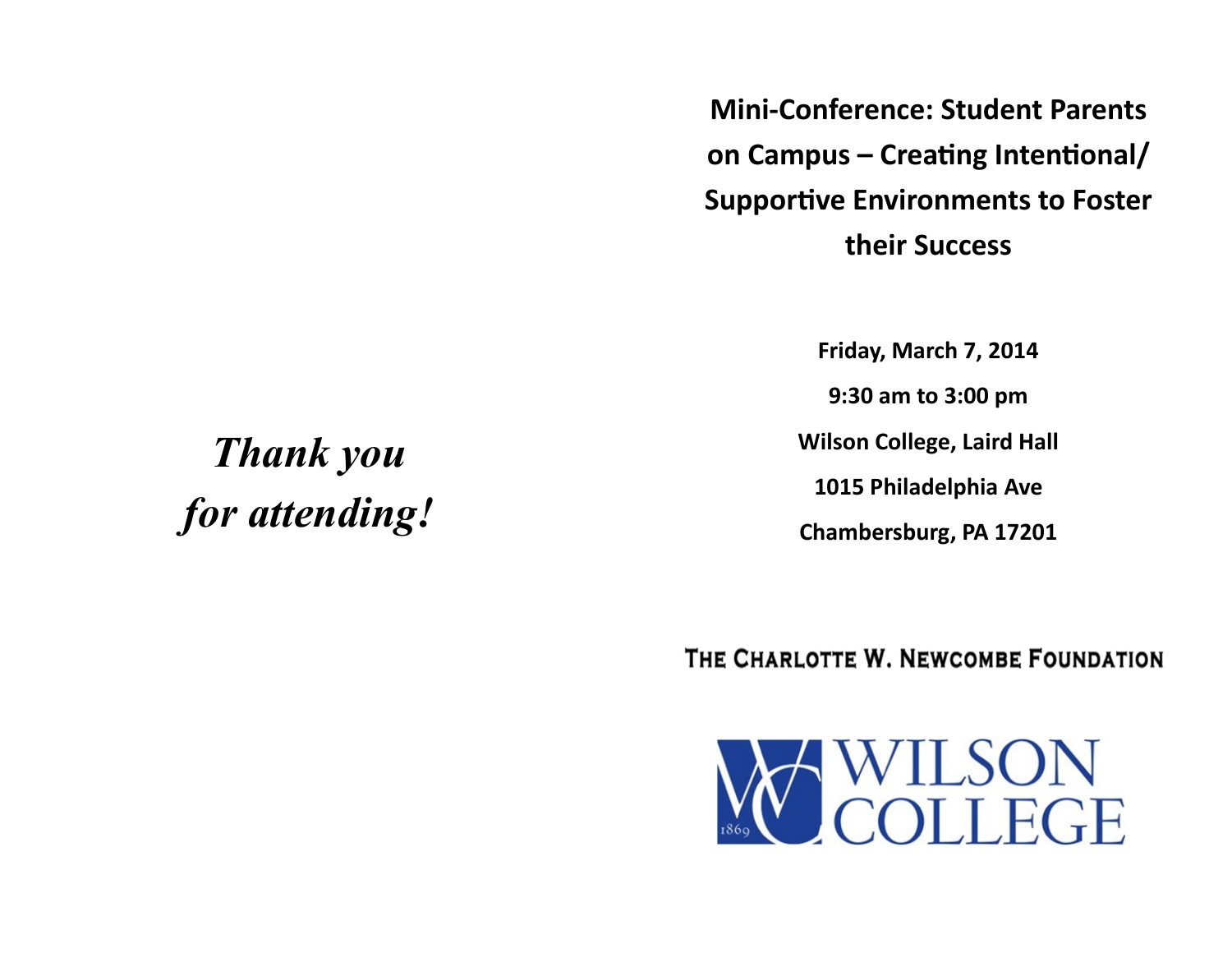**Mini-Conference: Student Parents on Campus – Creating Intentional/ Supportive Environments to Foster their Success**

**Friday, March 7, 2014**

**9:30 am to 3:00 pm**

**Wilson College, Laird Hall**

**1015 Philadelphia Ave**

**Chambersburg, PA 17201**

THE CHARLOTTE W. NEWCOMBE FOUNDATION



*Thank you for attending!*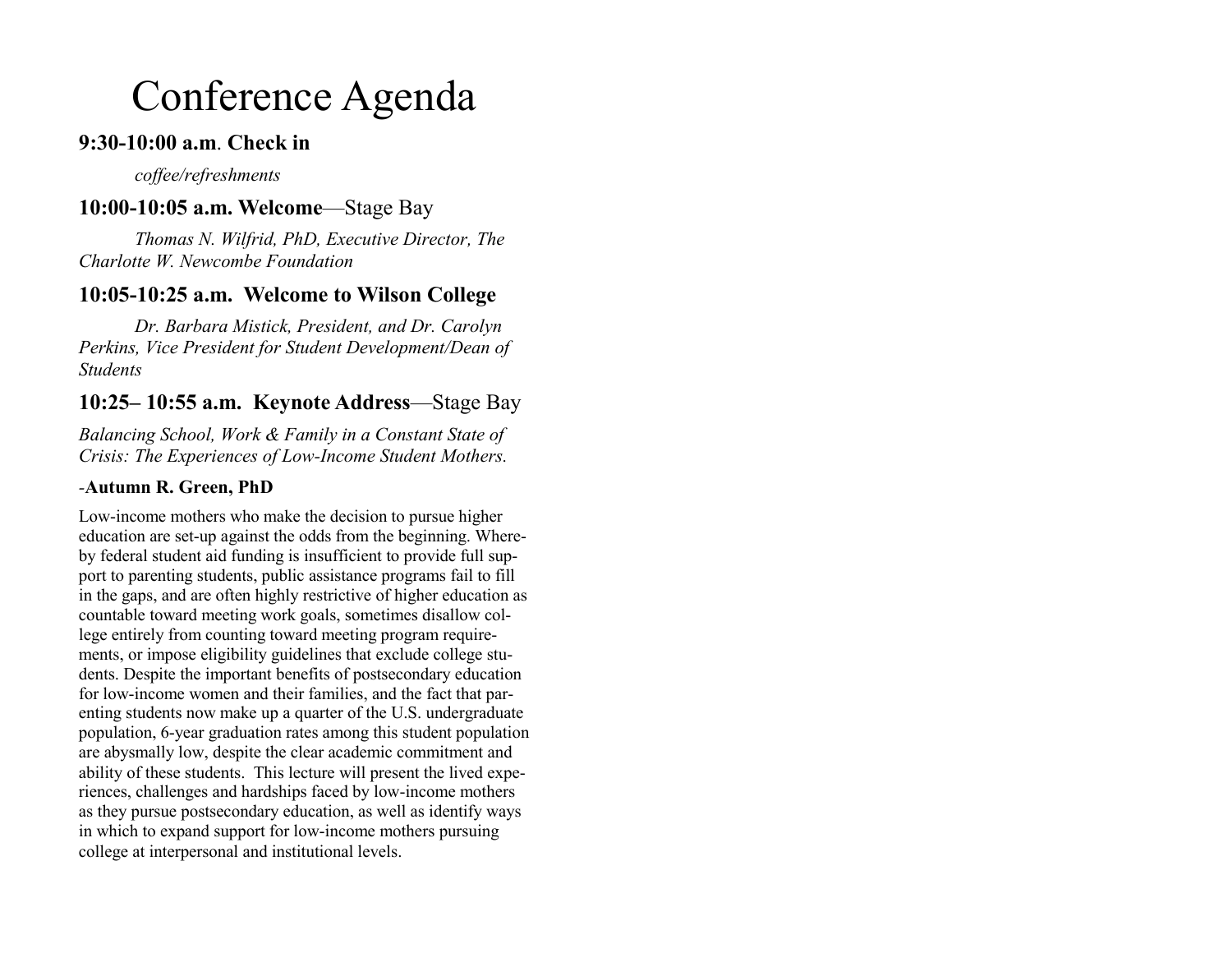# Conference Agenda

# **9:30-10:00 a.m**. **Check in**

*coffee/refreshments* 

## **10:00-10:05 a.m. Welcome**—Stage Bay

*Thomas N. Wilfrid, PhD, Executive Director, The Charlotte W. Newcombe Foundation* 

# **10:05-10:25 a.m. Welcome to Wilson College**

*Dr. Barbara Mistick, President, and Dr. Carolyn Perkins, Vice President for Student Development/Dean of Students*

# **10:25– 10:55 a.m. Keynote Address**—Stage Bay

*Balancing School, Work & Family in a Constant State of Crisis: The Experiences of Low-Income Student Mothers.* 

#### *-***Autumn R. Green, PhD**

Low-income mothers who make the decision to pursue higher education are set-up against the odds from the beginning. Whereby federal student aid funding is insufficient to provide full support to parenting students, public assistance programs fail to fill in the gaps, and are often highly restrictive of higher education as countable toward meeting work goals, sometimes disallow college entirely from counting toward meeting program requirements, or impose eligibility guidelines that exclude college students. Despite the important benefits of postsecondary education for low-income women and their families, and the fact that parenting students now make up a quarter of the U.S. undergraduate population, 6-year graduation rates among this student population are abysmally low, despite the clear academic commitment and ability of these students. This lecture will present the lived experiences, challenges and hardships faced by low-income mothers as they pursue postsecondary education, as well as identify ways in which to expand support for low-income mothers pursuing college at interpersonal and institutional levels.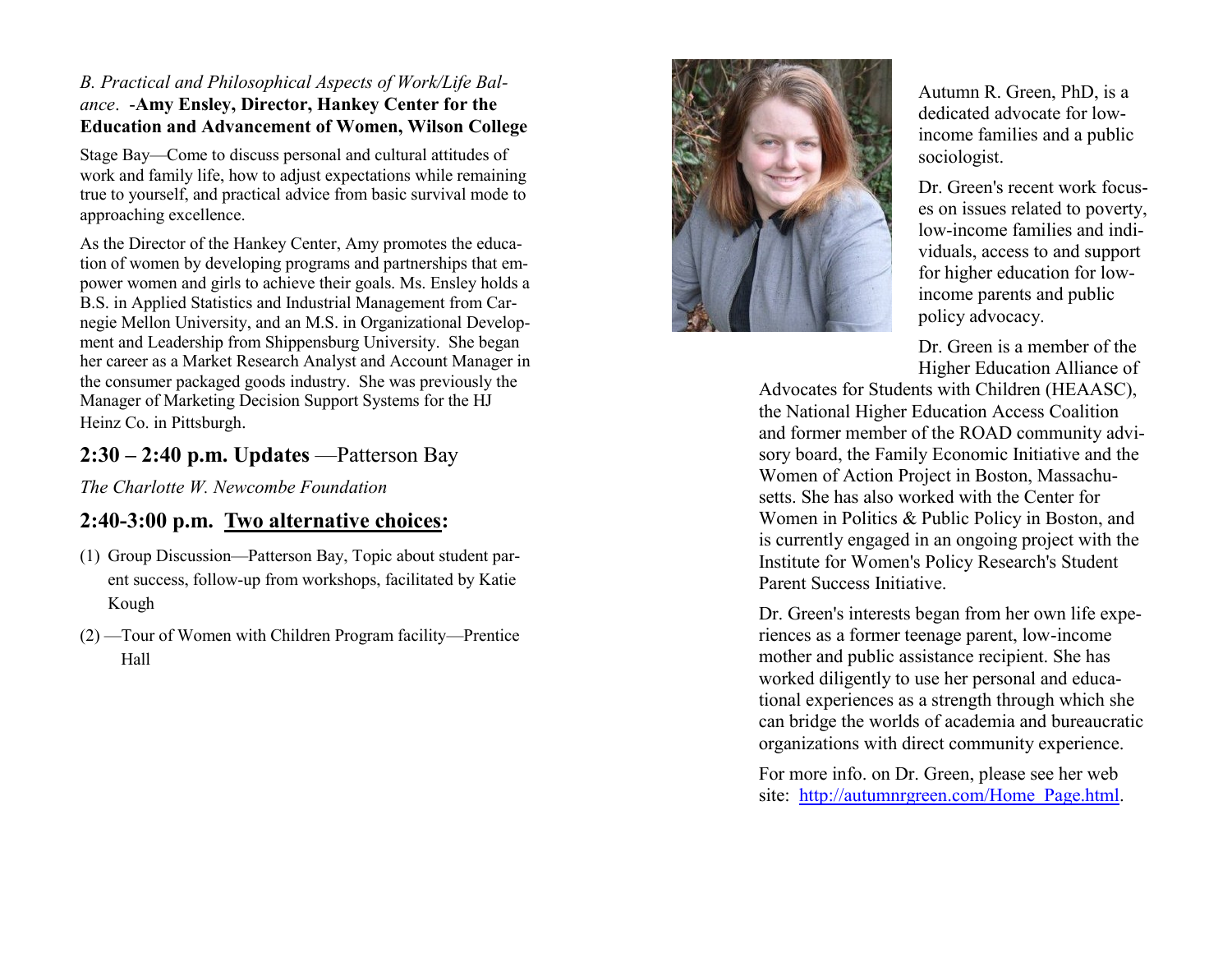#### *B. Practical and Philosophical Aspects of Work/Life Balance*. -**Amy Ensley, Director, Hankey Center for the Education and Advancement of Women, Wilson College**

Stage Bay—Come to discuss personal and cultural attitudes of work and family life, how to adjust expectations while remaining true to yourself, and practical advice from basic survival mode to approaching excellence.

As the Director of the Hankey Center, Amy promotes the education of women by developing programs and partnerships that empower women and girls to achieve their goals. Ms. Ensley holds a B.S. in Applied Statistics and Industrial Management from Carnegie Mellon University, and an M.S. in Organizational Development and Leadership from Shippensburg University. She began her career as a Market Research Analyst and Account Manager in the consumer packaged goods industry. She was previously the Manager of Marketing Decision Support Systems for the HJ Heinz Co. in Pittsburgh .

# **2:30 – 2:40 p.m. Updates**  —Patterson Bay

*The Charlotte W. Newcombe Foundation*

# **2:40 -3:00 p.m. Two alternative choices:**

- (1) Group Discussion—Patterson Bay, Topic about student parent success, follow-up from workshops, facilitated by Katie Kough
- (2) —Tour of Women with Children Program facility —Prentice Hall



Autumn R. Green, PhD, is a dedicated advocate for low income families and a public sociologist.

Dr. Green's recent work focuses on issues related to poverty, low -income families and individuals, access to and support for higher education for low income parents and public policy advocacy.

Dr. Green is a member of the Higher Education Alliance of

Advocates for Students with Children (HEAASC), the National Higher Education Access Coalition and former member of the ROAD community advisory board, the Family Economic Initiative and the Women of Action Project in Boston, Massachusetts. She has also worked with the Center for Women in Politics & Public Policy in Boston, and is currently engaged in an ongoing project with the Institute for Women's Policy Research's Student Parent Success Initiative.

Dr. Green's interests began from her own life experiences as a former teenage parent, low-income mother and public assistance recipient. She has worked diligently to use her personal and educational experiences as a strength through which she can bridge the worlds of academia and bureaucratic organizations with direct community experience.

For more info. on Dr. Green, please see her web site: [http://autumnrgreen.com/Home\\_Page.html.](http://autumnrgreen.com/Home_Page.html)